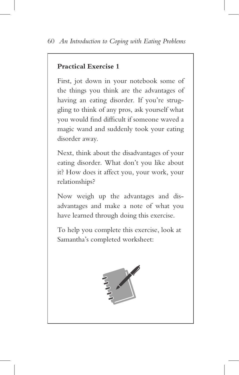## **Practical Exercise 1**

First, jot down in your notebook some of the things you think are the advantages of having an eating disorder. If you're struggling to think of any pros, ask yourself what you would find difficult if someone waved a magic wand and suddenly took your eating disorder away.

Next, think about the disadvantages of your eating disorder. What don't you like about it? How does it affect you, your work, your relationships?

Now weigh up the advantages and disadvantages and make a note of what you have learned through doing this exercise.

To help you complete this exercise, look at Samantha's completed worksheet: